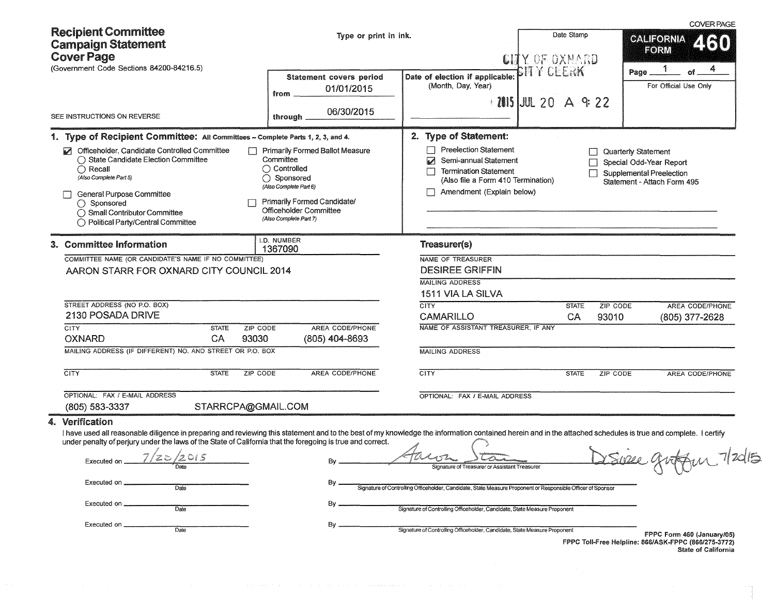| <b>Recipient Committee</b><br><b>Campaign Statement</b>                                                                                                                                                                                                                                                                                                                                                                                                              | Type or print in ink.                                                                                                                                                  |                                                                                                                                                                                                                                                                                                                                | Date Stamp                                  | <b>COVER PAGE</b><br><b>CALIFORNIA</b><br>2130<br>FORM                                                                                  |
|----------------------------------------------------------------------------------------------------------------------------------------------------------------------------------------------------------------------------------------------------------------------------------------------------------------------------------------------------------------------------------------------------------------------------------------------------------------------|------------------------------------------------------------------------------------------------------------------------------------------------------------------------|--------------------------------------------------------------------------------------------------------------------------------------------------------------------------------------------------------------------------------------------------------------------------------------------------------------------------------|---------------------------------------------|-----------------------------------------------------------------------------------------------------------------------------------------|
| <b>Cover Page</b><br>(Government Code Sections 84200-84216.5)<br>SEE INSTRUCTIONS ON REVERSE                                                                                                                                                                                                                                                                                                                                                                         | Statement covers period<br>01/01/2015<br>from<br>06/30/2015<br>through                                                                                                 | Date of election if applicable:<br>(Month, Day, Year)                                                                                                                                                                                                                                                                          | CHIX OF OXNARD<br>BITY CEERK<br>1 20 A 9:22 | 4<br>Page<br>of.<br>For Official Use Only                                                                                               |
| 1. Type of Recipient Committee: All Committees - Complete Parts 1, 2, 3, and 4.<br>Officeholder, Candidate Controlled Committee<br>◯ State Candidate Election Committee<br>$\bigcap$ Recall<br>(Also Complete Part 5)<br>General Purpose Committee<br>◯ Sponsored<br>◯ Small Contributor Committee                                                                                                                                                                   | Primarily Formed Ballot Measure<br>Committee<br>$\bigcap$ Controlled<br>◯ Sponsored<br>(Also Complete Part 6)<br>Primarily Formed Candidate/<br>Officeholder Committee | 2. Type of Statement:<br><b>Preelection Statement</b><br>Ø<br>Semi-annual Statement<br><b>Termination Statement</b><br>(Also file a Form 410 Termination)<br>Amendment (Explain below)                                                                                                                                         |                                             | Quarterly Statement<br>Special Odd-Year Report<br>Supplemental Preelection<br>Statement - Attach Form 495                               |
| ◯ Political Party/Central Committee<br>3. Committee Information<br>COMMITTEE NAME (OR CANDIDATE'S NAME IF NO COMMITTEE)<br>AARON STARR FOR OXNARD CITY COUNCIL 2014                                                                                                                                                                                                                                                                                                  | (Also Complete Part 7)<br>I.D. NUMBER<br>1367090                                                                                                                       | Treasurer(s)<br>NAME OF TREASURER<br><b>DESIREE GRIFFIN</b><br><b>MAILING ADDRESS</b>                                                                                                                                                                                                                                          |                                             |                                                                                                                                         |
| STREET ADDRESS (NO P.O. BOX)<br>2130 POSADA DRIVE<br><b>CITY</b><br><b>STATE</b><br>ZIP CODE<br><b>OXNARD</b><br>CA<br>93030<br>MAILING ADDRESS (IF DIFFERENT) NO. AND STREET OR P.O. BOX                                                                                                                                                                                                                                                                            | AREA CODE/PHONE<br>(805) 404-8693                                                                                                                                      | 1511 VIA LA SILVA<br><b>CITY</b><br><b>CAMARILLO</b><br>NAME OF ASSISTANT TREASURER, IF ANY<br><b>MAILING ADDRESS</b>                                                                                                                                                                                                          | <b>STATE</b><br>CA                          | AREA CODE/PHONE<br>ZIP CODE<br>93010<br>(805) 377-2628                                                                                  |
| <b>CITY</b><br><b>STATE</b><br>ZIP CODE<br>OPTIONAL: FAX / E-MAIL ADDRESS<br>STARRCPA@GMAIL.COM<br>(805) 583-3337                                                                                                                                                                                                                                                                                                                                                    | AREA CODE/PHONE                                                                                                                                                        | CITY<br>OPTIONAL: FAX / E-MAIL ADDRESS                                                                                                                                                                                                                                                                                         | <b>STATE</b>                                | ZIP CODE<br>AREA CODE/PHONE                                                                                                             |
| 4. Verification<br>I have used all reasonable diligence in preparing and reviewing this statement and to the best of my knowledge the information contained herein and in the attached schedules is true and complete. I certify<br>under penalty of perjury under the laws of the State of California that the foregoing is true and correct.<br>7/20/2015<br>Executed on<br>Date<br>Executed on<br>Dafe <sub></sub><br>Executed on<br>Date<br>Executed on.<br>Date | By<br>Βv<br>Bv                                                                                                                                                         | Gars<br>Signature of Treasurer or Assistant Treasurer<br>Signature of Controlling Officeholder, Candidate, State Measure Proponent or Responsible Officer of Sponsor<br>Signature of Controlling Officeholder, Candidate, State Measure Proponent<br>Signature of Controlling Officeholder, Candidate, State Measure Proponent |                                             | Suse groffun 7/2015<br>FPPC Form 460 (January/05)<br>FPPC Toll-Free Helpline: 866/ASK-FPPC (866/275-3772)<br><b>State of California</b> |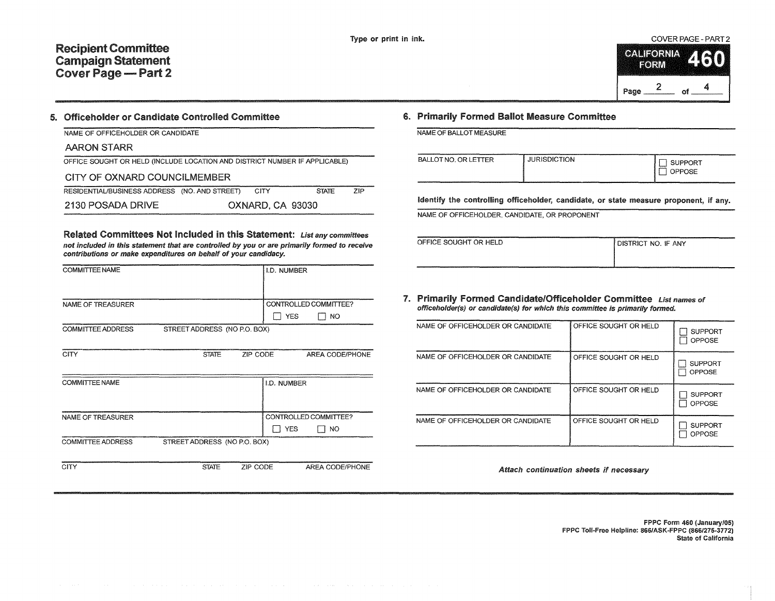#### COVER PAGE - PART 2

|      | CALIFORNIA<br><b>RORU</b> |    |  |
|------|---------------------------|----|--|
| Page |                           | n۴ |  |

#### 5. Officeholder or Candidate Controlled Committee

| NAME OF OFFICEHOLDER OR CANDIDATE |  |
|-----------------------------------|--|

| AARON STARR |  |
|-------------|--|
|             |  |

| OFFICE SOUGHT OR HELD (INCLUDE LOCATION AND DISTRICT NUMBER IF APPLICABLE) |  |
|----------------------------------------------------------------------------|--|
|----------------------------------------------------------------------------|--|

### CITY OF OXNARD COUNCILMEMBER

| RESIDENTIAL/BUSINESS ADDRESS (NO. AND STREET) | <b>CITY</b>      | <b>STATE</b> | ZIP |
|-----------------------------------------------|------------------|--------------|-----|
| 2130 POSADA DRIVE                             | OXNARD, CA 93030 |              |     |

Related Committees Not Included in this Statement: List any committees not included in this statement that are controlled by you or are primarily formed to receive contributions or make expenditures on behalf of your candidacy.

| <b>COMMITTEE NAME</b>    |                              |          | I.D. NUMBER |                       |
|--------------------------|------------------------------|----------|-------------|-----------------------|
|                          |                              |          |             |                       |
| NAME OF TREASURER        |                              |          |             | CONTROLLED COMMITTEE? |
|                          |                              |          | <b>YES</b>  | NO                    |
| <b>COMMITTEE ADDRESS</b> | STREET ADDRESS (NO P.O. BOX) |          |             |                       |
|                          |                              |          |             |                       |
| <b>CITY</b>              | <b>STATE</b>                 | ZIP CODE |             | AREA CODE/PHONE       |
|                          |                              |          |             |                       |
| <b>COMMITTEE NAME</b>    |                              |          | I.D. NUMBER |                       |
|                          |                              |          |             |                       |
|                          |                              |          |             |                       |
| NAME OF TREASURER        |                              |          |             | CONTROLLED COMMITTEE? |
|                          |                              |          | <b>YES</b>  | 1 NO                  |
| COMMITTEE ADDRESS        | STREET ADDRESS (NO P.O. BOX) |          |             |                       |
|                          |                              |          |             |                       |
| <b>CITY</b>              | <b>STATE</b>                 | ZIP CODE |             | AREA CODE/PHONE       |

### 6. Primarily Formed Ballot Measure Committee

NAME OF BALLOT MEASURE

| <b>JURISDICTION</b><br><b>BALLOT NO. OR LETTER</b><br><b>JPPORT</b><br>------<br>'OSE<br><b>Lange 19</b> |  |
|----------------------------------------------------------------------------------------------------------|--|
|----------------------------------------------------------------------------------------------------------|--|

Identify the controlling officeholder, candidate, or state measure proponent, if any.

NAME OF OFFICEHOLDER, CANDIDATE, OR PROPONENT

| OFFICE SOUGHT OR HELD<br><b>I DISTRICT NO. IF ANY</b> |  |  |  |  |
|-------------------------------------------------------|--|--|--|--|
|                                                       |  |  |  |  |

| ISTRICT NO. IF ANY |  |
|--------------------|--|

7. Primarily Formed Candidate/Officeholder Committee List names of officehofder(s) or candidate(s) for which this committee is primarily formed.

| NAME OF OFFICEHOLDER OR CANDIDATE | OFFICE SOUGHT OR HELD | <b>SUPPORT</b><br>OPPOSE        |
|-----------------------------------|-----------------------|---------------------------------|
| NAME OF OFFICEHOLDER OR CANDIDATE | OFFICE SOUGHT OR HELD | <b>SUPPORT</b><br>OPPOSE        |
| NAME OF OFFICEHOLDER OR CANDIDATE | OFFICE SOUGHT OR HELD | <b>SUPPORT</b><br><b>OPPOSE</b> |
| NAME OF OFFICEHOLDER OR CANDIDATE | OFFICE SOUGHT OR HELD | <b>SUPPORT</b><br><b>OPPOSE</b> |

Attach continuation sheets if necessary

FPPC Form 460 (January/05) FPPC Toll-Free Helpline: 866/ASK-FPPC (866/275-3772) State of California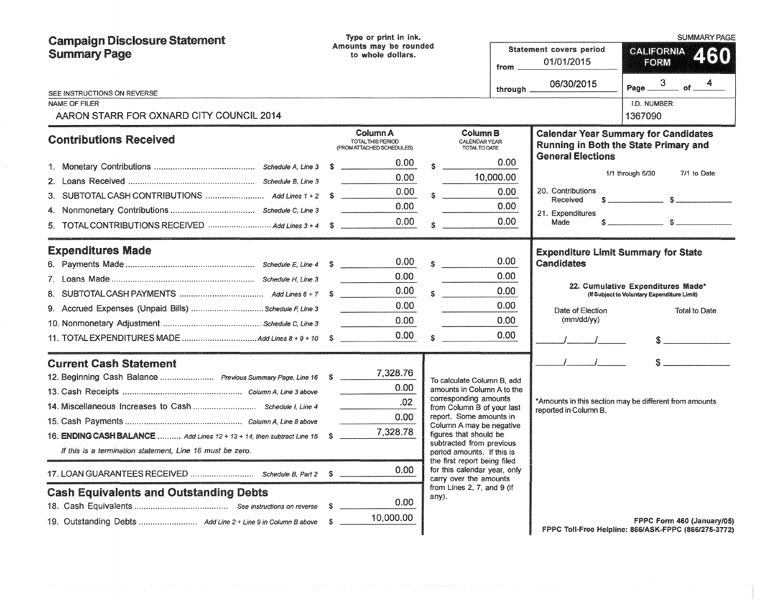| <b>Campaign Disclosure Statement</b>                                                           | Type or print in ink.                                      |                                                                                                                                                                                                                           | <b>SUMMARY PAGE</b>                                  |                                                   |                                                                                      |
|------------------------------------------------------------------------------------------------|------------------------------------------------------------|---------------------------------------------------------------------------------------------------------------------------------------------------------------------------------------------------------------------------|------------------------------------------------------|---------------------------------------------------|--------------------------------------------------------------------------------------|
| <b>Summary Page</b>                                                                            | Amounts may be rounded<br>to whole dollars.                |                                                                                                                                                                                                                           | Statement covers period<br>01/01/2015<br>from $\_\_$ |                                                   | <b>CALIFORNIA</b><br>FORM                                                            |
| SEE INSTRUCTIONS ON REVERSE                                                                    |                                                            |                                                                                                                                                                                                                           | through $\overline{\phantom{a}}$                     | 06/30/2015                                        | Page $\frac{3}{2}$<br>4<br>$=$ of $=$                                                |
| NAME OF FILER<br>AARON STARR FOR OXNARD CITY COUNCIL 2014                                      |                                                            |                                                                                                                                                                                                                           |                                                      |                                                   | I.D. NUMBER<br>1367090                                                               |
| <b>Contributions Received</b>                                                                  | Column A<br>TOTAL THIS PERIOD<br>(FROM ATTACHED SCHEDULES) | Column B<br>CALENDAR YEAR<br>TOTAL TO DATE                                                                                                                                                                                |                                                      | <b>General Elections</b>                          | <b>Calendar Year Summary for Candidates</b><br>Running in Both the State Primary and |
|                                                                                                | 0.00<br>0.00 <sub>1</sub>                                  |                                                                                                                                                                                                                           | 0.00<br>10,000.00                                    |                                                   | 1/1 through 6/30<br>7/1 to Date                                                      |
| 3.                                                                                             | 0.00<br>0.00                                               | $\sim$                                                                                                                                                                                                                    | 0.00<br>0.00                                         | 20. Contributions<br>Received<br>21. Expenditures |                                                                                      |
| 5. TOTAL CONTRIBUTIONS RECEIVED  Add Lines 3 + 4 \$                                            | 0.00                                                       | $\sim$                                                                                                                                                                                                                    | 0.00                                                 | Made                                              |                                                                                      |
| <b>Expenditures Made</b>                                                                       | 0.00                                                       |                                                                                                                                                                                                                           | 0.00                                                 | Candidates                                        | <b>Expenditure Limit Summary for State</b>                                           |
|                                                                                                | 0.00<br>0.00                                               |                                                                                                                                                                                                                           | 0.00<br>0.00                                         |                                                   | 22. Cumulative Expenditures Made*<br>(If Subject to Voluntary Expenditure Limit)     |
| 9. Accrued Expenses (Unpaid Bills) Schedule F, Line 3                                          | 0.00<br>0.00                                               |                                                                                                                                                                                                                           | 0.00<br>0.00                                         | Date of Election<br>(mm/dd/yy)                    | <b>Total to Date</b>                                                                 |
|                                                                                                | 0.00                                                       | $\sim$                                                                                                                                                                                                                    | 0.00                                                 |                                                   |                                                                                      |
| <b>Current Cash Statement</b><br>12. Beginning Cash Balance  Previous Summary Page, Line 16 \$ | 7,328.76                                                   |                                                                                                                                                                                                                           |                                                      | $\mathcal{L} = \mathcal{L} = \mathcal{L}$         | S                                                                                    |
|                                                                                                | 0.00<br>.02                                                | To calculate Column B, add<br>amounts in Column A to the<br>corresponding amounts<br>from Column B of your last<br>reported in Column B.<br>report. Some amounts in<br>Column A may be negative<br>figures that should be |                                                      |                                                   | *Amounts in this section may be different from amounts                               |
| 16. ENDING CASH BALANCE  Add Lines 12 + 13 + 14, then subtract Line 15 \$                      | 0.00<br>7,328.78                                           |                                                                                                                                                                                                                           |                                                      |                                                   |                                                                                      |
| If this is a termination statement, Line 16 must be zero.                                      |                                                            | subtracted from previous<br>period amounts. If this is<br>the first report being filed                                                                                                                                    |                                                      |                                                   |                                                                                      |
| 17. LOAN GUARANTEES RECEIVED  Schedule B, Part 2 \$                                            | 0.00                                                       | for this calendar year, only<br>carry over the amounts                                                                                                                                                                    |                                                      |                                                   |                                                                                      |
| <b>Cash Equivalents and Outstanding Debts</b>                                                  | 0.00 <sub>1</sub><br>10,000.00                             | from Lines 2, 7, and 9 (if<br>any).                                                                                                                                                                                       |                                                      |                                                   | FPPC Form 460 (January/05)<br>FPPC Toll-Free Helpline: 866/ASK-FPPC (866/275-3772)   |

 $\mathcal{A}^{(1)}$